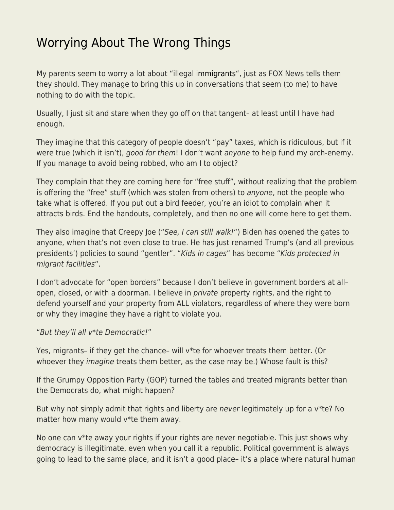## [Worrying About The Wrong Things](https://everything-voluntary.com/worrying-about-the-wrong-things)

My parents seem to worry a lot about "illegal [immigrants](http://blog.kentforliberty.com/2014/07/a-light-goes-on-in-my-head-immigration.html)", just as FOX News tells them they should. They manage to bring this up in conversations that seem (to me) to have nothing to do with the topic.

Usually, I just sit and stare when they go off on that tangent– at least until I have had enough.

They imagine that this category of people doesn't "pay" taxes, which is ridiculous, but if it were true (which it isn't), good for them! I don't want anyone to help fund my arch-enemy. If you manage to avoid being robbed, who am I to object?

They complain that they are coming here for "free stuff", without realizing that the problem is offering the "free" stuff (which was stolen from others) to anyone, not the people who take what is offered. If you put out a bird feeder, you're an idiot to complain when it attracts birds. End the handouts, completely, and then no one will come here to get them.

They also imagine that Creepy Joe ("See, I can still walk!") Biden has opened the gates to anyone, when that's not even close to true. He has just renamed Trump's (and all previous presidents') policies to sound "gentler". "Kids in cages" has become "Kids protected in migrant facilities".

I don't advocate for "open borders" because I don't believe in government borders at all– open, closed, or with a doorman. I believe in *private* property rights, and the right to defend yourself and your property from ALL violators, regardless of where they were born or why they imagine they have a right to violate you.

## "But they'll all v\*te Democratic!"

Yes, migrants– if they get the chance– will v\*te for whoever treats them better. (Or whoever they *imagine* treats them better, as the case may be.) Whose fault is this?

If the Grumpy Opposition Party (GOP) turned the tables and treated migrants better than the Democrats do, what might happen?

But why not simply admit that rights and liberty are never legitimately up for a  $v^*$ te? No matter how many would v\*te them away.

No one can v\*te away your rights if your rights are never negotiable. This just shows why democracy is illegitimate, even when you call it a republic. Political government is always going to lead to the same place, and it isn't a good place– it's a place where natural human